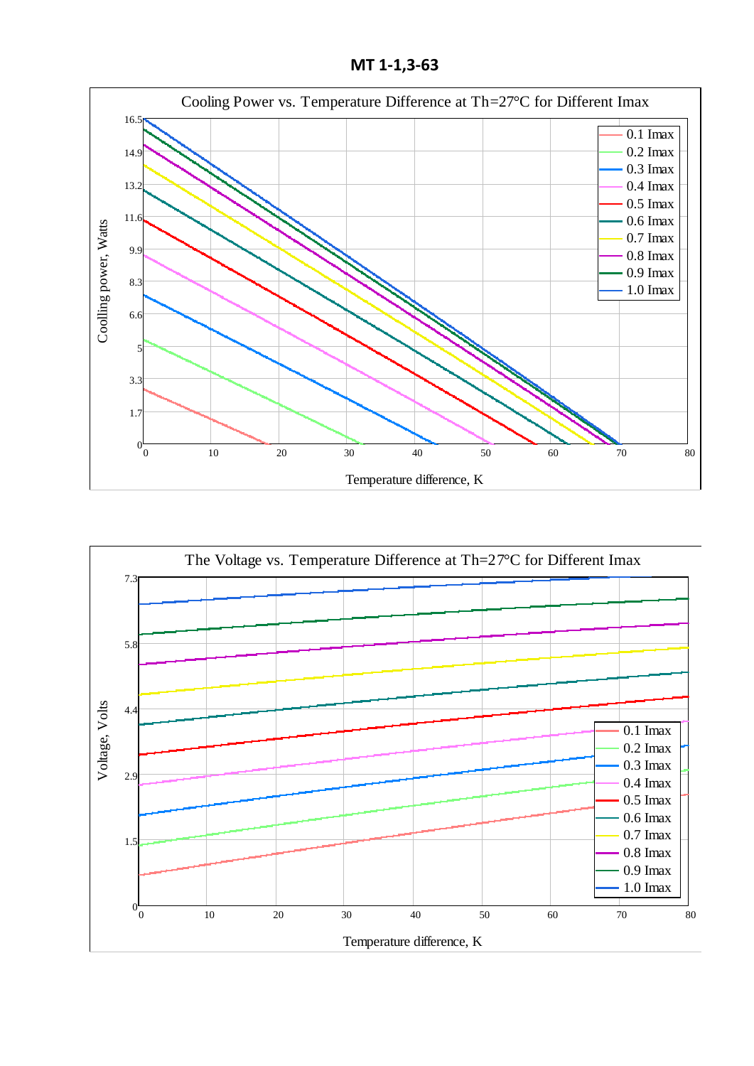**МТ 1-1,3-63**